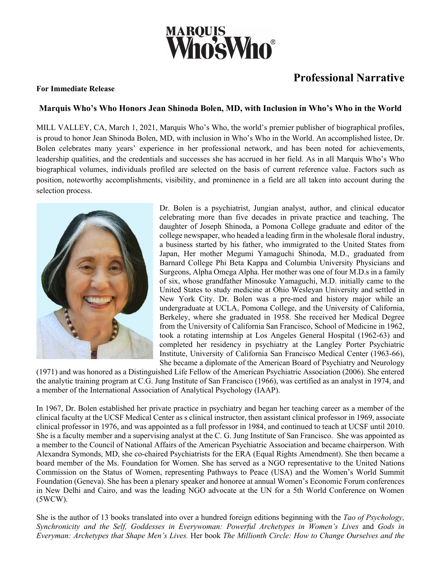

## **Professional Narrative**

## **For Immediate Release**

## **Marquis Who's Who Honors Jean Shinoda Bolen, MD, with Inclusion in Who's Who in the World**

MILL VALLEY, CA, March 1, 2021, Marquis Who's Who, the world's premier publisher of biographical profiles, is proud to honor Jean Shinoda Bolen, MD, with inclusion in Who's Who in the World. An accomplished listee, Dr. Bolen celebrates many years' experience in her professional network, and has been noted for achievements, leadership qualities, and the credentials and successes she has accrued in her field. As in all Marquis Who's Who biographical volumes, individuals profiled are selected on the basis of current reference value. Factors such as position, noteworthy accomplishments, visibility, and prominence in a field are all taken into account during the selection process.



Dr. Bolen is a psychiatrist, Jungian analyst, author, and clinical educator celebrating more than five decades in private practice and teaching, The daughter of Joseph Shinoda, a Pomona College graduate and editor of the college newspaper, who headed a leading firm in the wholesale floral industry, a business started by his father, who immigrated to the United States from Japan, Her mother Megumi Yamaguchi Shinoda, M.D., graduated from Barnard College Phi Beta Kappa and Columbia University Physicians and Surgeons, Alpha Omega Alpha. Her mother was one of four M.D.s in a family of six, whose grandfather Minosuke Yamaguchi, M.D. initially came to the United States to study medicine at Ohio Wesleyan University and settled in New York City. Dr. Bolen was a pre-med and history major while an undergraduate at UCLA, Pomona College, and the University of California, Berkeley, where she graduated in 1958. She received her Medical Degree from the University of California San Francisco, School of Medicine in 1962, took a rotating internship at Los Angeles General Hospital (1962-63) and completed her residency in psychiatry at the Langley Porter Psychiatric Institute, University of California San Francisco Medical Center (1963-66), She became a diplomate of the American Board of Psychiatry and Neurology

(1971) and was honored as a Distinguished Life Fellow of the American Psychiatric Association (2006). She entered the analytic training program at C.G. Jung Institute of San Francisco (1966), was certified as an analyst in 1974, and a member of the International Association of Analytical Psychology (IAAP).

In 1967, Dr. Bolen established her private practice in psychiatry and began her teaching career as a member of the clinical faculty at the UCSF Medical Center as s clinical instructor, then assistant clinical professor in 1969, associate clinical professor in 1976, and was appointed as a full professor in 1984, and continued to teach at UCSF until 2010. She is a faculty member and a supervising analyst at the C. G. Jung Institute of San Francisco. She was appointed as a member to the Council of National Affairs of the American Psychiatric Association and became chairperson. With Alexandra Symonds, MD, she co-chaired Psychiatrists for the ERA (Equal Rights Amendment). She then became a board member of the Ms. Foundation for Women. She has served as a NGO representative to the United Nations Commission on the Status of Women, representing Pathways to Peace (USA) and the Women's World Summit Foundation (Geneva). She has been a plenary speaker and honoree at annual Women's Economic Forum conferences in New Delhi and Cairo, and was the leading NGO advocate at the UN for a 5th World Conference on Women (5WCW).

She is the author of 13 books translated into over a hundred foreign editions beginning with the *Tao of Psychology, Synchronicity and the Self, Goddesses in Everywoman: Powerful Archetypes in Women's Lives* and *Gods in Everyman: Archetypes that Shape Men's Lives.* Her book *The Millionth Circle: How to Change Ourselves and the*